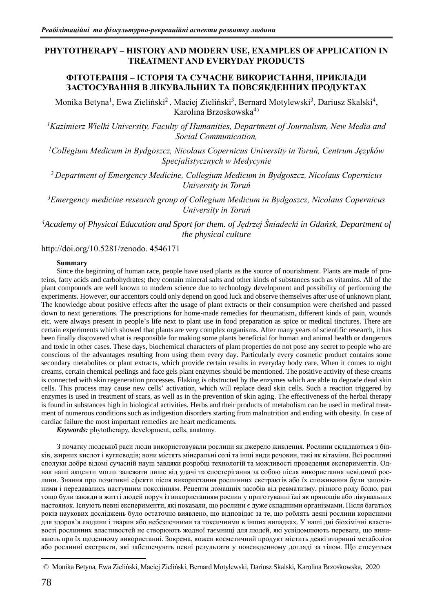## **PHYTOTHERAPY – HISTORY AND MODERN USE, EXAMPLES OF APPLICATION IN TREATMENT AND EVERYDAY PRODUCTS**

## **ФІТОТЕРАПІЯ – ІСТОРІЯ ТА СУЧАСНЕ ВИКОРИСТАННЯ, ПРИКЛАДИ ЗАСТОСУВАННЯ В ЛІКУВАЛЬНИХ ТА ПОВСЯКДЕННИХ ПРОДУКТАХ**

Monika Betyna<sup>1</sup>, Ewa Zieliński<sup>2</sup>, Maciej Zieliński<sup>3</sup>, Bernard Motylewski<sup>3</sup>, Dariusz Skalski<sup>4</sup>, Karolina Brzoskowska4a

*<sup>1</sup>Kazimierz Wielki University, Faculty of Humanities, Department of Journalism, New Media and Social Communication,*

*<sup>1</sup>Collegium Medicum in Bydgoszcz, Nicolaus Copernicus University in Toruń, Centrum Języków Specjalistycznych w Medycynie*

*<sup>2</sup>Department of Emergency Medicine, Collegium Medicum in Bydgoszcz, Nicolaus Copernicus University in Toruń*

*<sup>3</sup>Emergency medicine research group of Collegium Medicum in Bydgoszcz, Nicolaus Copernicus University in Toruń*

*<sup>4</sup>Academy of Physical Education and Sport for them. of Jędrzej Śniadecki in Gdańsk, Department of the physical culture*

http://doi.org/10.5281/zenodo. 4546171

## **Summary**

Since the beginning of human race, people have used plants as the source of nourishment. Plants are made of proteins, fatty acids and carbohydrates; they contain mineral salts and other kinds of substances such as vitamins. All of the plant compounds are well known to modern science due to technology development and possibility of performing the experiments. However, our accentors could only depend on good luck and observe themselves after use of unknown plant. The knowledge about positive effects after the usage of plant extracts or their consumption were cherished and passed down to next generations. The prescriptions for home-made remedies for rheumatism, different kinds of pain, wounds etc. were always present in people's life next to plant use in food preparation as spice or medical tinctures. There are certain experiments which showed that plants are very complex organisms. After many years of scientific research, it has been finally discovered what is responsible for making some plants beneficial for human and animal health or dangerous and toxic in other cases. These days, biochemical characters of plant properties do not pose any secret to people who are conscious of the advantages resulting from using them every day. Particularly every cosmetic product contains some secondary metabolites or plant extracts, which provide certain results in everyday body care. When it comes to night creams, certain chemical peelings and face gels plant enzymes should be mentioned. The positive activity of these creams is connected with skin regeneration processes. Flaking is obstructed by the enzymes which are able to degrade dead skin cells. This process may cause new cells' activation, which will replace dead skin cells. Such a reaction triggered by enzymes is used in treatment of scars, as well as in the prevention of skin aging. The effectiveness of the herbal therapy is found in substances high in biological activities. Herbs and their products of metabolism can be used in medical treatment of numerous conditions such as indigestion disorders starting from malnutrition and ending with obesity. In case of cardiac failure the most important remedies are heart medicaments.

*Keywords:* phytotherapy, development, cells, anatomy.

З початку людської раси люди використовували рослини як джерело живлення. Рослини складаються з білків, жирних кислот і вуглеводів; вони містять мінеральні солі та інші види речовин, такі як вітаміни. Всі рослинні сполуки добре відомі сучасній науці завдяки розробці технологій та можливості проведення експериментів. Однак наші акценти могли залежати лише від удачі та спостерігання за собою після використання невідомої рослини. Знання про позитивні ефекти після використання рослинних екстрактів або їх споживання були заповітними і передавались наступним поколінням. Рецепти домашніх засобів від ревматизму, різного роду болю, ран тощо були завжди в житті людей поруч із використанням рослин у приготуванні їжі як прянощів або лікувальних настоянок. Існують певні експерименти, які показали, що рослини є дуже складними організмами. Після багатьох років наукових досліджень було остаточно виявлено, що відповідає за те, що роблять деякі рослини корисними для здоров'я людини і тварин або небезпечними та токсичними в інших випадках. У наші дні біохімічні властивості рослинних властивостей не створюють жодної таємниці для людей, які усвідомлюють переваги, що виникають при їх щоденному використанні. Зокрема, кожен косметичний продукт містить деякі вторинні метаболіти або рослинні екстракти, які забезпечують певні результати у повсякденному догляді за тілом. Що стосується

<sup>a</sup>© Monika Betyna, Ewa Zieliński, Maciej Zieliński, Bernard Motylewski, Dariusz Skalski, Karolina Brzoskowska, 2020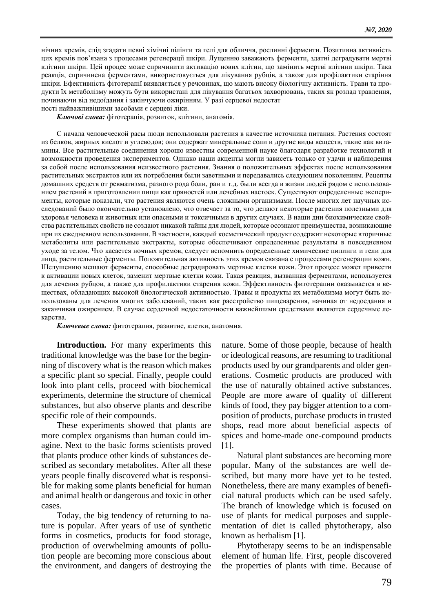нічних кремів, слід згадати певні хімічні пілінги та гелі для обличчя, рослинні ферменти. Позитивна активність цих кремів пов'язана з процесами регенерації шкіри. Лущенню заважають ферменти, здатні деградувати мертві клітини шкіри. Цей процес може спричинити активацію нових клітин, що замінить мертві клітини шкіри. Така реакція, спричинена ферментами, використовується для лікування рубців, а також для профілактики старіння шкіри. Ефективність фітотерапії виявляється у речовинах, що мають високу біологічну активність. Трави та продукти їх метаболізму можуть бути використані для лікування багатьох захворювань, таких як розлад травлення, починаючи від недоїдання і закінчуючи ожирінням. У разі серцевої недостат

ності найважливішими засобами є серцеві ліки.

*Ключові слова:* фітотерапія, розвиток, клітини, анатомія.

С начала человеческой расы люди использовали растения в качестве источника питания. Растения состоят из белков, жирных кислот и углеводов; они содержат минеральные соли и другие виды веществ, такие как витамины. Все растительные соединения хорошо известны современной науке благодаря разработке технологий и возможности проведения экспериментов. Однако наши акценты могли зависеть только от удачи и наблюдения за собой после использования неизвестного растения. Знания о положительных эффектах после использования растительных экстрактов или их потребления были заветными и передавались следующим поколениям. Рецепты домашних средств от ревматизма, разного рода боли, ран и т.д. были всегда в жизни людей рядом с использованием растений в приготовлении пищи как пряностей или лечебных настоек. Существуют определенные эксперименты, которые показали, что растения являются очень сложными организмами. После многих лет научных исследований было окончательно установлено, что отвечает за то, что делают некоторые растения полезными для здоровья человека и животных или опасными и токсичными в других случаях. В наши дни биохимические свойства растительных свойств не создают никакой тайны для людей, которые осознают преимущества, возникающие при их ежедневном использовании. В частности, каждый косметический продукт содержит некоторые вторичные метаболиты или растительные экстракты, которые обеспечивают определенные результаты в повседневном уходе за телом. Что касается ночных кремов, следует вспомнить определенные химические пилинги и гели для лица, растительные ферменты. Положительная активность этих кремов связана с процессами регенерации кожи. Шелушению мешают ферменты, способные деградировать мертвые клетки кожи. Этот процесс может привести к активации новых клеток, заменит мертвые клетки кожи. Такая реакция, вызванная ферментами, используется для лечения рубцов, а также для профилактики старения кожи. Эффективность фитотерапии оказывается в веществах, обладающих высокой биологической активностью. Травы и продукты их метаболизма могут быть использованы для лечения многих заболеваний, таких как расстройство пищеварения, начиная от недоедания и заканчивая ожирением. В случае сердечной недостаточности важнейшими средствами являются сердечные лекарства.

*Ключевые слова:* фитотерапия, развитие, клетки, анатомия.

**Introduction.** For many experiments this traditional knowledge was the base for the beginning of discovery what is the reason which makes a specific plant so special. Finally, people could look into plant cells, proceed with biochemical experiments, determine the structure of chemical substances, but also observe plants and describe specific role of their compounds.

These experiments showed that plants are more complex organisms than human could imagine. Next to the basic forms scientists proved that plants produce other kinds of substances described as secondary metabolites. After all these years people finally discovered what is responsible for making some plants beneficial for human and animal health or dangerous and toxic in other cases.

Today, the big tendency of returning to nature is popular. After years of use of synthetic forms in cosmetics, products for food storage, production of overwhelming amounts of pollution people are becoming more conscious about the environment, and dangers of destroying the nature. Some of those people, because of health or ideological reasons, are resuming to traditional products used by our grandparents and older generations. Cosmetic products are produced with the use of naturally obtained active substances. People are more aware of quality of different kinds of food, they pay bigger attention to a composition of products, purchase products in trusted shops, read more about beneficial aspects of spices and home-made one-compound products [1].

Natural plant substances are becoming more popular. Many of the substances are well described, but many more have yet to be tested. Nonetheless, there are many examples of beneficial natural products which can be used safely. The branch of knowledge which is focused on use of plants for medical purposes and supplementation of diet is called phytotherapy, also known as herbalism [1].

Phytotherapy seems to be an indispensable element of human life. First, people discovered the properties of plants with time. Because of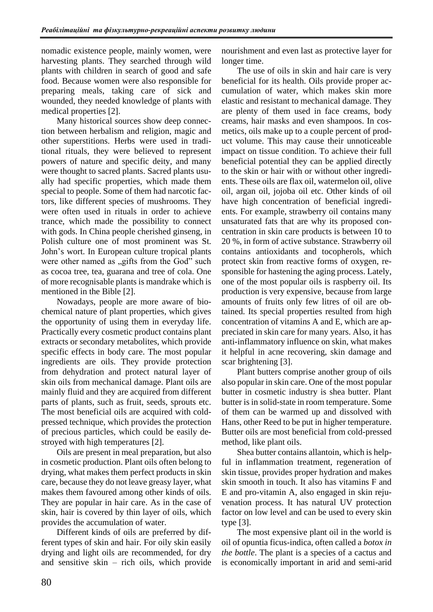nomadic existence people, mainly women, were harvesting plants. They searched through wild plants with children in search of good and safe food. Because women were also responsible for preparing meals, taking care of sick and wounded, they needed knowledge of plants with medical properties [2].

Many historical sources show deep connection between herbalism and religion, magic and other superstitions. Herbs were used in traditional rituals, they were believed to represent powers of nature and specific deity, and many were thought to sacred plants. Sacred plants usually had specific properties, which made them special to people. Some of them had narcotic factors, like different species of mushrooms. They were often used in rituals in order to achieve trance, which made the possibility to connect with gods. In China people cherished ginseng, in Polish culture one of most prominent was St. John's wort. In European culture tropical plants were other named as "gifts from the God" such as cocoa tree, tea, guarana and tree of cola. One of more recognisable plants is mandrake which is mentioned in the Bible [2].

Nowadays, people are more aware of biochemical nature of plant properties, which gives the opportunity of using them in everyday life. Practically every cosmetic product contains plant extracts or secondary metabolites, which provide specific effects in body care. The most popular ingredients are oils. They provide protection from dehydration and protect natural layer of skin oils from mechanical damage. Plant oils are mainly fluid and they are acquired from different parts of plants, such as fruit, seeds, sprouts etc. The most beneficial oils are acquired with coldpressed technique, which provides the protection of precious particles, which could be easily destroyed with high temperatures [2].

Oils are present in meal preparation, but also in cosmetic production. Plant oils often belong to drying, what makes them perfect products in skin care, because they do not leave greasy layer, what makes them favoured among other kinds of oils. They are popular in hair care. As in the case of skin, hair is covered by thin layer of oils, which provides the accumulation of water.

Different kinds of oils are preferred by different types of skin and hair. For oily skin easily drying and light oils are recommended, for dry and sensitive skin – rich oils, which provide

nourishment and even last as protective layer for longer time.

The use of oils in skin and hair care is very beneficial for its health. Oils provide proper accumulation of water, which makes skin more elastic and resistant to mechanical damage. They are plenty of them used in face creams, body creams, hair masks and even shampoos. In cosmetics, oils make up to a couple percent of product volume. This may cause their unnoticeable impact on tissue condition. To achieve their full beneficial potential they can be applied directly to the skin or hair with or without other ingredients. These oils are flax oil, watermelon oil, olive oil, argan oil, jojoba oil etc. Other kinds of oil have high concentration of beneficial ingredients. For example, strawberry oil contains many unsaturated fats that are why its proposed concentration in skin care products is between 10 to 20 %, in form of active substance. Strawberry oil contains antioxidants and tocopherols, which protect skin from reactive forms of oxygen, responsible for hastening the aging process. Lately, one of the most popular oils is raspberry oil. Its production is very expensive, because from large amounts of fruits only few litres of oil are obtained. Its special properties resulted from high concentration of vitamins A and E, which are appreciated in skin care for many years. Also, it has anti-inflammatory influence on skin, what makes it helpful in acne recovering, skin damage and scar brightening [3].

Plant butters comprise another group of oils also popular in skin care. One of the most popular butter in cosmetic industry is shea butter. Plant butter is in solid-state in room temperature. Some of them can be warmed up and dissolved with Hans, other Reed to be put in higher temperature. Butter oils are most beneficial from cold-pressed method, like plant oils.

Shea butter contains allantoin, which is helpful in inflammation treatment, regeneration of skin tissue, provides proper hydration and makes skin smooth in touch. It also has vitamins F and E and pro-vitamin A, also engaged in skin rejuvenation process. It has natural UV protection factor on low level and can be used to every skin type [3].

The most expensive plant oil in the world is oil of opuntia ficus-indica, often called a *botox in the bottle*. The plant is a species of a cactus and is economically important in arid and semi-arid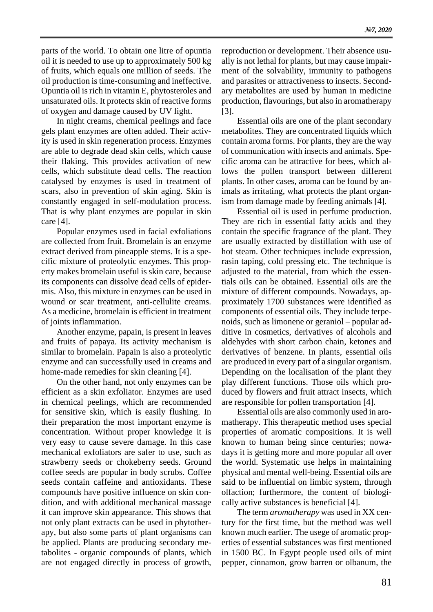parts of the world. To obtain one litre of opuntia oil it is needed to use up to approximately 500 kg of fruits, which equals one million of seeds. The oil production is time-consuming and ineffective. Opuntia oil is rich in vitamin E, phytosteroles and unsaturated oils. It protects skin of reactive forms of oxygen and damage caused by UV light.

In night creams, chemical peelings and face gels plant enzymes are often added. Their activity is used in skin regeneration process. Enzymes are able to degrade dead skin cells, which cause their flaking. This provides activation of new cells, which substitute dead cells. The reaction catalysed by enzymes is used in treatment of scars, also in prevention of skin aging. Skin is constantly engaged in self-modulation process. That is why plant enzymes are popular in skin care [4].

Popular enzymes used in facial exfoliations are collected from fruit. Bromelain is an enzyme extract derived from pineapple stems. It is a specific mixture of proteolytic enzymes. This property makes bromelain useful is skin care, because its components can dissolve dead cells of epidermis. Also, this mixture in enzymes can be used in wound or scar treatment, anti-cellulite creams. As a medicine, bromelain is efficient in treatment of joints inflammation.

Another enzyme, papain, is present in leaves and fruits of papaya. Its activity mechanism is similar to bromelain. Papain is also a proteolytic enzyme and can successfully used in creams and home-made remedies for skin cleaning [4].

On the other hand, not only enzymes can be efficient as a skin exfoliator. Enzymes are used in chemical peelings, which are recommended for sensitive skin, which is easily flushing. In their preparation the most important enzyme is concentration. Without proper knowledge it is very easy to cause severe damage. In this case mechanical exfoliators are safer to use, such as strawberry seeds or chokeberry seeds. Ground coffee seeds are popular in body scrubs. Coffee seeds contain caffeine and antioxidants. These compounds have positive influence on skin condition, and with additional mechanical massage it can improve skin appearance. This shows that not only plant extracts can be used in phytotherapy, but also some parts of plant organisms can be applied. Plants are producing secondary metabolites - organic compounds of plants, which are not engaged directly in process of growth, reproduction or development. Their absence usually is not lethal for plants, but may cause impairment of the solvability, immunity to pathogens and parasites or attractiveness to insects. Secondary metabolites are used by human in medicine production, flavourings, but also in aromatherapy [3].

Essential oils are one of the plant secondary metabolites. They are concentrated liquids which contain aroma forms. For plants, they are the way of communication with insects and animals. Specific aroma can be attractive for bees, which allows the pollen transport between different plants. In other cases, aroma can be found by animals as irritating, what protects the plant organism from damage made by feeding animals [4].

Essential oil is used in perfume production. They are rich in essential fatty acids and they contain the specific fragrance of the plant. They are usually extracted by distillation with use of hot steam. Other techniques include expression, rasin taping, cold pressing etc. The technique is adjusted to the material, from which the essentials oils can be obtained. Essential oils are the mixture of different compounds. Nowadays, approximately 1700 substances were identified as components of essential oils. They include terpenoids, such as limonene or geraniol – popular additive in cosmetics, derivatives of alcohols and aldehydes with short carbon chain, ketones and derivatives of benzene. In plants, essential oils are produced in every part of a singular organism. Depending on the localisation of the plant they play different functions. Those oils which produced by flowers and fruit attract insects, which are responsible for pollen transportation [4].

Essential oils are also commonly used in aromatherapy. This therapeutic method uses special properties of aromatic compositions. It is well known to human being since centuries; nowadays it is getting more and more popular all over the world. Systematic use helps in maintaining physical and mental well-being. Essential oils are said to be influential on limbic system, through olfaction; furthermore, the content of biologically active substances is beneficial [4].

The term *aromatherapy* was used in XX century for the first time, but the method was well known much earlier. The usege of aromatic properties of essential substances was first mentioned in 1500 BC. In Egypt people used oils of mint pepper, cinnamon, grow barren or olbanum, the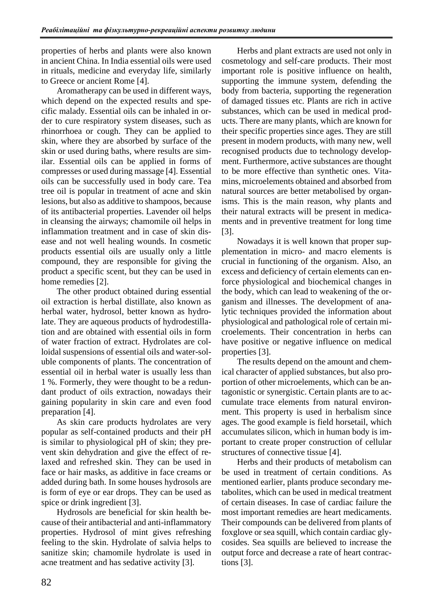properties of herbs and plants were also known in ancient China. In India essential oils were used in rituals, medicine and everyday life, similarly to Greece or ancient Rome [4].

Aromatherapy can be used in different ways, which depend on the expected results and specific malady. Essential oils can be inhaled in order to cure respiratory system diseases, such as rhinorrhoea or cough. They can be applied to skin, where they are absorbed by surface of the skin or used during baths, where results are similar. Essential oils can be applied in forms of compresses or used during massage [4]. Essential oils can be successfully used in body care. Tea tree oil is popular in treatment of acne and skin lesions, but also as additive to shampoos, because of its antibacterial properties. Lavender oil helps in cleansing the airways; chamomile oil helps in inflammation treatment and in case of skin disease and not well healing wounds. In cosmetic products essential oils are usually only a little compound, they are responsible for giving the product a specific scent, but they can be used in home remedies [2].

The other product obtained during essential oil extraction is herbal distillate, also known as herbal water, hydrosol, better known as hydrolate. They are aqueous products of hydrodestillation and are obtained with essential oils in form of water fraction of extract. Hydrolates are colloidal suspensions of essential oils and water-soluble components of plants. The concentration of essential oil in herbal water is usually less than 1 %. Formerly, they were thought to be a redundant product of oils extraction, nowadays their gaining popularity in skin care and even food preparation [4].

As skin care products hydrolates are very popular as self-contained products and their pH is similar to physiological pH of skin; they prevent skin dehydration and give the effect of relaxed and refreshed skin. They can be used in face or hair masks, as additive in face creams or added during bath. In some houses hydrosols are is form of eye or ear drops. They can be used as spice or drink ingredient [3].

Hydrosols are beneficial for skin health because of their antibacterial and anti-inflammatory properties. Hydrosol of mint gives refreshing feeling to the skin. Hydrolate of salvia helps to sanitize skin; chamomile hydrolate is used in acne treatment and has sedative activity [3].

Herbs and plant extracts are used not only in cosmetology and self-care products. Their most important role is positive influence on health, supporting the immune system, defending the body from bacteria, supporting the regeneration of damaged tissues etc. Plants are rich in active substances, which can be used in medical products. There are many plants, which are known for their specific properties since ages. They are still present in modern products, with many new, well recognised products due to technology development. Furthermore, active substances are thought to be more effective than synthetic ones. Vitamins, microelements obtained and absorbed from natural sources are better metabolised by organisms. This is the main reason, why plants and their natural extracts will be present in medicaments and in preventive treatment for long time [3].

Nowadays it is well known that proper supplementation in micro- and macro elements is crucial in functioning of the organism. Also, an excess and deficiency of certain elements can enforce physiological and biochemical changes in the body, which can lead to weakening of the organism and illnesses. The development of analytic techniques provided the information about physiological and pathological role of certain microelements. Their concentration in herbs can have positive or negative influence on medical properties [3].

The results depend on the amount and chemical character of applied substances, but also proportion of other microelements, which can be antagonistic or synergistic. Certain plants are to accumulate trace elements from natural environment. This property is used in herbalism since ages. The good example is field horsetail, which accumulates silicon, which in human body is important to create proper construction of cellular structures of connective tissue [4].

Herbs and their products of metabolism can be used in treatment of certain conditions. As mentioned earlier, plants produce secondary metabolites, which can be used in medical treatment of certain diseases. In case of cardiac failure the most important remedies are heart medicaments. Their compounds can be delivered from plants of foxglove or sea squill, which contain cardiac glycosides. Sea squills are believed to increase the output force and decrease a rate of heart contractions [3].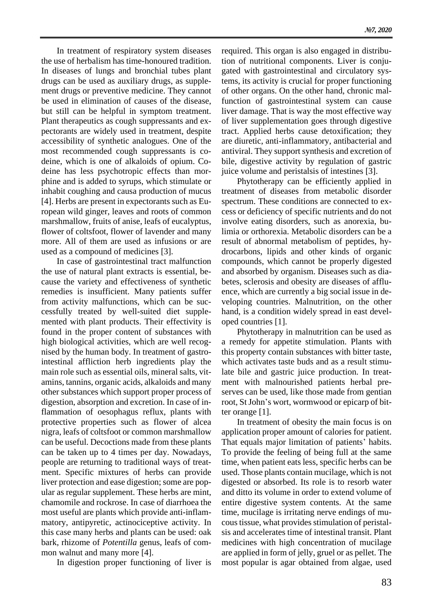In treatment of respiratory system diseases the use of herbalism has time-honoured tradition. In diseases of lungs and bronchial tubes plant drugs can be used as auxiliary drugs, as supplement drugs or preventive medicine. They cannot be used in elimination of causes of the disease, but still can be helpful in symptom treatment. Plant therapeutics as cough suppressants and expectorants are widely used in treatment, despite accessibility of synthetic analogues. One of the most recommended cough suppressants is codeine, which is one of alkaloids of opium. Codeine has less psychotropic effects than morphine and is added to syrups, which stimulate or inhabit coughing and causa production of mucus [4]. Herbs are present in expectorants such as European wild ginger, leaves and roots of common marshmallow, fruits of anise, leafs of eucalyptus, flower of coltsfoot, flower of lavender and many more. All of them are used as infusions or are used as a compound of medicines [3].

In case of gastrointestinal tract malfunction the use of natural plant extracts is essential, because the variety and effectiveness of synthetic remedies is insufficient. Many patients suffer from activity malfunctions, which can be successfully treated by well-suited diet supplemented with plant products. Their effectivity is found in the proper content of substances with high biological activities, which are well recognised by the human body. In treatment of gastrointestinal affliction herb ingredients play the main role such as essential oils, mineral salts, vitamins, tannins, organic acids, alkaloids and many other substances which support proper process of digestion, absorption and excretion. In case of inflammation of oesophagus reflux, plants with protective properties such as flower of alcea nigra, leafs of coltsfoot or common marshmallow can be useful. Decoctions made from these plants can be taken up to 4 times per day. Nowadays, people are returning to traditional ways of treatment. Specific mixtures of herbs can provide liver protection and ease digestion; some are popular as regular supplement. These herbs are mint, chamomile and rockrose. In case of diarrhoea the most useful are plants which provide anti-inflammatory, antipyretic, actinociceptive activity. In this case many herbs and plants can be used: oak bark, rhizome of *Potentilla* genus, leafs of common walnut and many more [4].

In digestion proper functioning of liver is

required. This organ is also engaged in distribution of nutritional components. Liver is conjugated with gastrointestinal and circulatory systems, its activity is crucial for proper functioning of other organs. On the other hand, chronic malfunction of gastrointestinal system can cause liver damage. That is way the most effective way of liver supplementation goes through digestive tract. Applied herbs cause detoxification; they are diuretic, anti-inflammatory, antibacterial and antiviral. They support synthesis and excretion of bile, digestive activity by regulation of gastric juice volume and peristalsis of intestines [3].

Phytotherapy can be efficiently applied in treatment of diseases from metabolic disorder spectrum. These conditions are connected to excess or deficiency of specific nutrients and do not involve eating disorders, such as anorexia, bulimia or orthorexia. Metabolic disorders can be a result of abnormal metabolism of peptides, hydrocarbons, lipids and other kinds of organic compounds, which cannot be properly digested and absorbed by organism. Diseases such as diabetes, sclerosis and obesity are diseases of affluence, which are currently a big social issue in developing countries. Malnutrition, on the other hand, is a condition widely spread in east developed countries [1].

Phytotherapy in malnutrition can be used as a remedy for appetite stimulation. Plants with this property contain substances with bitter taste, which activates taste buds and as a result stimulate bile and gastric juice production. In treatment with malnourished patients herbal preserves can be used, like those made from gentian root, St John's wort, wormwood or epicarp of bitter orange [1].

In treatment of obesity the main focus is on application proper amount of calories for patient. That equals major limitation of patients' habits. To provide the feeling of being full at the same time, when patient eats less, specific herbs can be used. Those plants contain mucilage, which is not digested or absorbed. Its role is to resorb water and ditto its volume in order to extend volume of entire digestive system contents. At the same time, mucilage is irritating nerve endings of mucous tissue, what provides stimulation of peristalsis and accelerates time of intestinal transit. Plant medicines with high concentration of mucilage are applied in form of jelly, gruel or as pellet. The most popular is agar obtained from algae, used